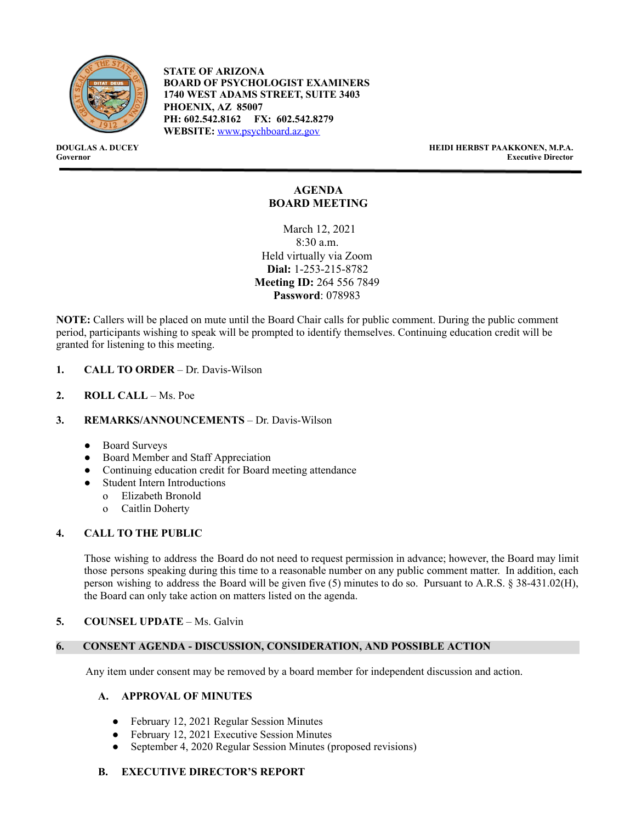

**STATE OF ARIZONA BOARD OF PSYCHOLOGIST EXAMINERS 1740 WEST ADAMS STREET, SUITE 3403 PHOENIX, AZ 85007 PH: 602.542.8162 FX: 602.542.8279 WEBSITE:** [www.psychboard.az.gov](http://www.psychboard.az.gov/)

**DOUGLAS A. DUCEY HEIDI HERBST PAAKKONEN, M.P.A. Executive Director** 

# **AGENDA BOARD MEETING**

March 12, 2021 8:30 a.m. Held virtually via Zoom **Dial:** 1-253-215-8782 **Meeting ID:** 264 556 7849 **Password**: 078983

**NOTE:** Callers will be placed on mute until the Board Chair calls for public comment. During the public comment period, participants wishing to speak will be prompted to identify themselves. Continuing education credit will be granted for listening to this meeting.

- **1. CALL TO ORDER**  Dr. Davis-Wilson
- **2. ROLL CALL**  Ms. Poe

# **3. REMARKS/ANNOUNCEMENTS** – Dr. Davis-Wilson

- Board Surveys
- Board Member and Staff Appreciation
- Continuing education credit for Board meeting attendance
- **Student Intern Introductions** 
	- o Elizabeth Bronold
	- o Caitlin Doherty

# **4. CALL TO THE PUBLIC**

Those wishing to address the Board do not need to request permission in advance; however, the Board may limit those persons speaking during this time to a reasonable number on any public comment matter. In addition, each person wishing to address the Board will be given five (5) minutes to do so. Pursuant to A.R.S. § 38-431.02(H), the Board can only take action on matters listed on the agenda.

# **5. COUNSEL UPDATE** – Ms. Galvin

# **6. CONSENT AGENDA - DISCUSSION, CONSIDERATION, AND POSSIBLE ACTION**

Any item under consent may be removed by a board member for independent discussion and action.

#### **A. APPROVAL OF MINUTES**

- February 12, 2021 Regular Session Minutes
- February 12, 2021 Executive Session Minutes
- September 4, 2020 Regular Session Minutes (proposed revisions)

# **B. EXECUTIVE DIRECTOR'S REPORT**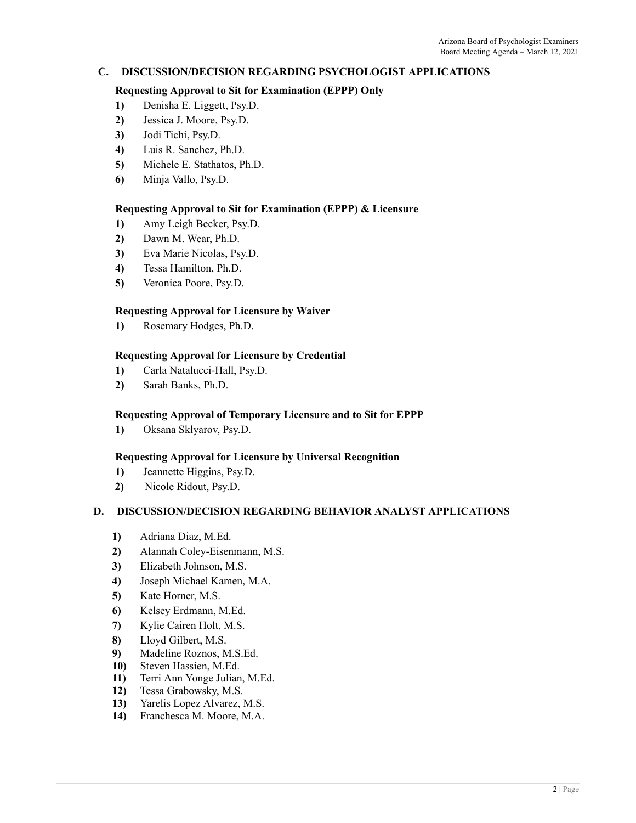# **C. DISCUSSION/DECISION REGARDING PSYCHOLOGIST APPLICATIONS**

### **Requesting Approval to Sit for Examination (EPPP) Only**

- **1)** Denisha E. Liggett, Psy.D.
- **2)** Jessica J. Moore, Psy.D.
- **3)** Jodi Tichi, Psy.D.
- **4)** Luis R. Sanchez, Ph.D.
- **5)** Michele E. Stathatos, Ph.D.
- **6)** Minja Vallo, Psy.D.

### **Requesting Approval to Sit for Examination (EPPP) & Licensure**

- **1)** Amy Leigh Becker, Psy.D.
- **2)** Dawn M. Wear, Ph.D.
- **3)** Eva Marie Nicolas, Psy.D.
- **4)** Tessa Hamilton, Ph.D.
- **5)** Veronica Poore, Psy.D.

### **Requesting Approval for Licensure by Waiver**

**1)** Rosemary Hodges, Ph.D.

### **Requesting Approval for Licensure by Credential**

- **1)** Carla Natalucci-Hall, Psy.D.
- **2)** Sarah Banks, Ph.D.

#### **Requesting Approval of Temporary Licensure and to Sit for EPPP**

**1)** Oksana Sklyarov, Psy.D.

#### **Requesting Approval for Licensure by Universal Recognition**

- **1)** Jeannette Higgins, Psy.D.
- **2)** Nicole Ridout, Psy.D.

### **D. DISCUSSION/DECISION REGARDING BEHAVIOR ANALYST APPLICATIONS**

- **1)** Adriana Diaz, M.Ed.
- **2)** Alannah Coley-Eisenmann, M.S.
- **3)** Elizabeth Johnson, M.S.
- **4)** Joseph Michael Kamen, M.A.
- **5)** Kate Horner, M.S.
- **6)** Kelsey Erdmann, M.Ed.
- **7)** Kylie Cairen Holt, M.S.
- **8)** Lloyd Gilbert, M.S.
- **9)** Madeline Roznos, M.S.Ed.
- **10)** Steven Hassien, M.Ed.
- **11)** Terri Ann Yonge Julian, M.Ed.
- **12)** Tessa Grabowsky, M.S.
- **13)** Yarelis Lopez Alvarez, M.S.
- **14)** Franchesca M. Moore, M.A.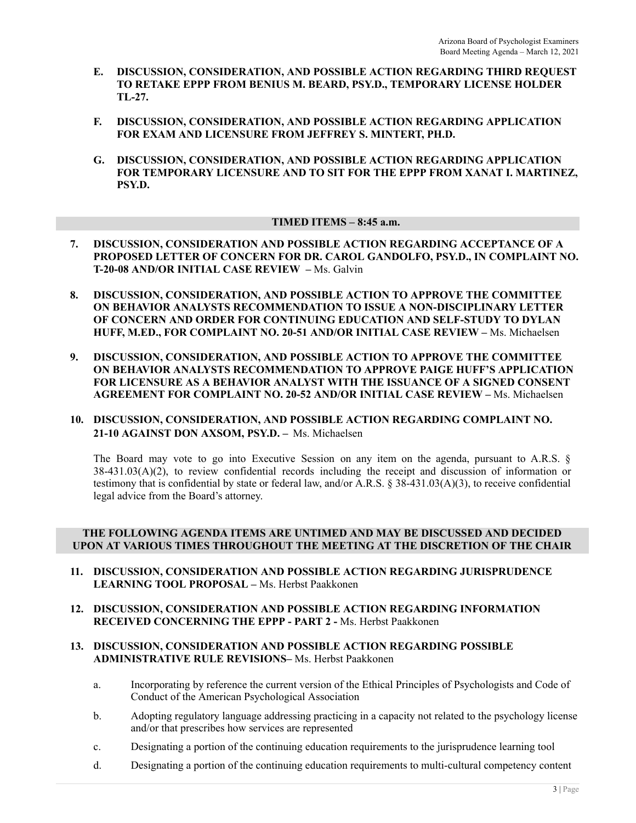- **E. DISCUSSION, CONSIDERATION, AND POSSIBLE ACTION REGARDING THIRD REQUEST TO RETAKE EPPP FROM BENIUS M. BEARD, PSY.D., TEMPORARY LICENSE HOLDER TL-27.**
- **F. DISCUSSION, CONSIDERATION, AND POSSIBLE ACTION REGARDING APPLICATION FOR EXAM AND LICENSURE FROM JEFFREY S. MINTERT, PH.D.**
- **G. DISCUSSION, CONSIDERATION, AND POSSIBLE ACTION REGARDING APPLICATION FOR TEMPORARY LICENSURE AND TO SIT FOR THE EPPP FROM XANAT I. MARTINEZ, PSY.D.**

### **TIMED ITEMS – 8:45 a.m.**

- **7. DISCUSSION, CONSIDERATION AND POSSIBLE ACTION REGARDING ACCEPTANCE OF A PROPOSED LETTER OF CONCERN FOR DR. CAROL GANDOLFO, PSY.D., IN COMPLAINT NO. T-20-08 AND/OR INITIAL CASE REVIEW –** Ms. Galvin
- **8. DISCUSSION, CONSIDERATION, AND POSSIBLE ACTION TO APPROVE THE COMMITTEE ON BEHAVIOR ANALYSTS RECOMMENDATION TO ISSUE A NON-DISCIPLINARY LETTER OF CONCERN AND ORDER FOR CONTINUING EDUCATION AND SELF-STUDY TO DYLAN HUFF, M.ED., FOR COMPLAINT NO. 20-51 AND/OR INITIAL CASE REVIEW –** Ms. Michaelsen
- **9. DISCUSSION, CONSIDERATION, AND POSSIBLE ACTION TO APPROVE THE COMMITTEE ON BEHAVIOR ANALYSTS RECOMMENDATION TO APPROVE PAIGE HUFF'S APPLICATION FOR LICENSURE AS A BEHAVIOR ANALYST WITH THE ISSUANCE OF A SIGNED CONSENT AGREEMENT FOR COMPLAINT NO. 20-52 AND/OR INITIAL CASE REVIEW –** Ms. Michaelsen

# **10. DISCUSSION, CONSIDERATION, AND POSSIBLE ACTION REGARDING COMPLAINT NO. 21-10 AGAINST DON AXSOM, PSY.D. –** Ms. Michaelsen

The Board may vote to go into Executive Session on any item on the agenda, pursuant to A.R.S. §  $38-431.03(A)(2)$ , to review confidential records including the receipt and discussion of information or testimony that is confidential by state or federal law, and/or A.R.S. § 38-431.03(A)(3), to receive confidential legal advice from the Board's attorney.

### **THE FOLLOWING AGENDA ITEMS ARE UNTIMED AND MAY BE DISCUSSED AND DECIDED UPON AT VARIOUS TIMES THROUGHOUT THE MEETING AT THE DISCRETION OF THE CHAIR**

- **11. DISCUSSION, CONSIDERATION AND POSSIBLE ACTION REGARDING JURISPRUDENCE LEARNING TOOL PROPOSAL –** Ms. Herbst Paakkonen
- **12. DISCUSSION, CONSIDERATION AND POSSIBLE ACTION REGARDING INFORMATION RECEIVED CONCERNING THE EPPP - PART 2 -** Ms. Herbst Paakkonen

#### **13. DISCUSSION, CONSIDERATION AND POSSIBLE ACTION REGARDING POSSIBLE ADMINISTRATIVE RULE REVISIONS–** Ms. Herbst Paakkonen

- a. Incorporating by reference the current version of the Ethical Principles of Psychologists and Code of Conduct of the American Psychological Association
- b. Adopting regulatory language addressing practicing in a capacity not related to the psychology license and/or that prescribes how services are represented
- c. Designating a portion of the continuing education requirements to the jurisprudence learning tool
- d. Designating a portion of the continuing education requirements to multi-cultural competency content